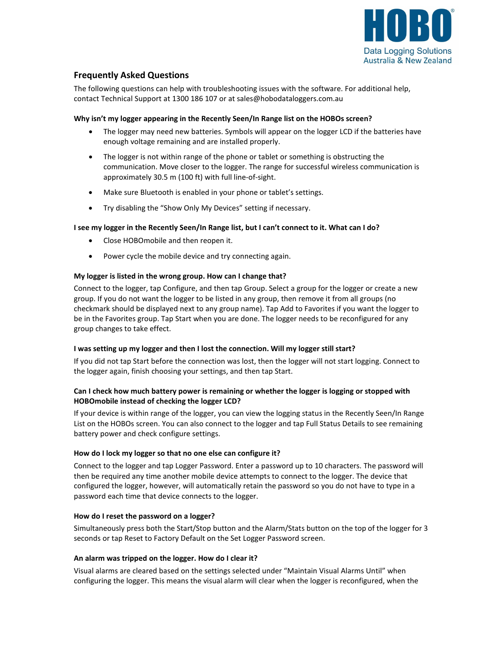

# **Frequently Asked Questions**

The following questions can help with troubleshooting issues with the software. For additional help, contact Technical Support at 1300 186 107 or at sales@hobodataloggers.com.au

# **Why isn't my logger appearing in the Recently Seen/In Range list on the HOBOs screen?**

- The logger may need new batteries. Symbols will appear on the logger LCD if the batteries have enough voltage remaining and are installed properly.
- The logger is not within range of the phone or tablet or something is obstructing the communication. Move closer to the logger. The range for successful wireless communication is approximately 30.5 m (100 ft) with full line-of-sight.
- Make sure Bluetooth is enabled in your phone or tablet's settings.
- Try disabling the "Show Only My Devices" setting if necessary.

# **I see my logger in the Recently Seen/In Range list, but I can't connect to it. What can I do?**

- Close HOBOmobile and then reopen it.
- Power cycle the mobile device and try connecting again.

# **My logger is listed in the wrong group. How can I change that?**

Connect to the logger, tap Configure, and then tap Group. Select a group for the logger or create a new group. If you do not want the logger to be listed in any group, then remove it from all groups (no checkmark should be displayed next to any group name). Tap Add to Favorites if you want the logger to be in the Favorites group. Tap Start when you are done. The logger needs to be reconfigured for any group changes to take effect.

# **I was setting up my logger and then I lost the connection. Will my logger still start?**

If you did not tap Start before the connection was lost, then the logger will not start logging. Connect to the logger again, finish choosing your settings, and then tap Start.

# **Can I check how much battery power is remaining or whether the logger is logging or stopped with HOBOmobile instead of checking the logger LCD?**

If your device is within range of the logger, you can view the logging status in the Recently Seen/In Range List on the HOBOs screen. You can also connect to the logger and tap Full Status Details to see remaining battery power and check configure settings.

# **How do I lock my logger so that no one else can configure it?**

Connect to the logger and tap Logger Password. Enter a password up to 10 characters. The password will then be required any time another mobile device attempts to connect to the logger. The device that configured the logger, however, will automatically retain the password so you do not have to type in a password each time that device connects to the logger.

# **How do I reset the password on a logger?**

Simultaneously press both the Start/Stop button and the Alarm/Stats button on the top of the logger for 3 seconds or tap Reset to Factory Default on the Set Logger Password screen.

# **An alarm was tripped on the logger. How do I clear it?**

Visual alarms are cleared based on the settings selected under "Maintain Visual Alarms Until" when configuring the logger. This means the visual alarm will clear when the logger is reconfigured, when the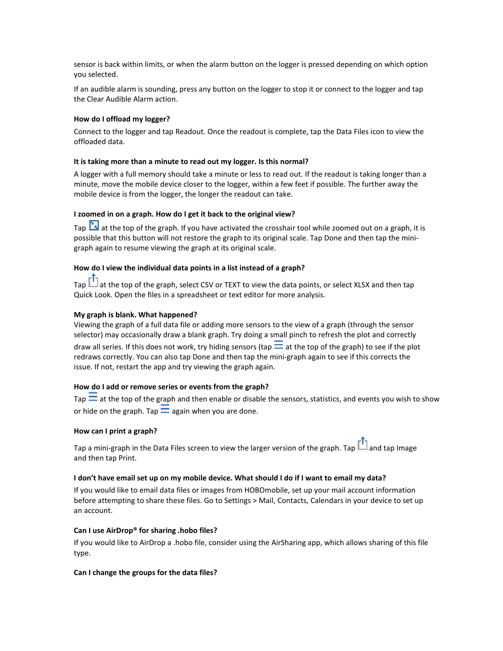sensor is back within limits, or when the alarm button on the logger is pressed depending on which option you selected.

If an audible alarm is sounding, press any button on the logger to stop it or connect to the logger and tap the Clear Audible Alarm action.

### **How do I offload my logger?**

Connect to the logger and tap Readout. Once the readout is complete, tap the Data Files icon to view the offloaded data.

#### **It is taking more than a minute to read out my logger. Is this normal?**

A logger with a full memory should take a minute or less to read out. If the readout is taking longer than a minute, move the mobile device closer to the logger, within a few feet if possible. The further away the mobile device is from the logger, the longer the readout can take.

#### **I zoomed in on a graph. How do I get it back to the original view?**

Tap **is at the top of the graph.** If you have activated the crosshair tool while zoomed out on a graph, it is possible that this button will not restore the graph to its original scale. Tap Done and then tap the minigraph again to resume viewing the graph at its original scale.

#### **How do I view the individual data points in a list instead of a graph?**

Tap  $\Box$  at the top of the graph, select CSV or TEXT to view the data points, or select XLSX and then tap Quick Look. Open the files in a spreadsheet or text editor for more analysis.

#### **My graph is blank. What happened?**

Viewing the graph of a full data file or adding more sensors to the view of a graph (through the sensor selector) may occasionally draw a blank graph. Try doing a small pinch to refresh the plot and correctly draw all series. If this does not work, try hiding sensors (tap  $\equiv$  at the top of the graph) to see if the plot redraws correctly. You can also tap Done and then tap the mini-graph again to see if this corrects the issue. If not, restart the app and try viewing the graph again.

#### **How do I add or remove series or events from the graph?**

Tap  $\equiv$  at the top of the graph and then enable or disable the sensors, statistics, and events you wish to show or hide on the graph. Tap  $\equiv$  again when you are done.

#### **How can I print a graph?**

Tap a mini-graph in the Data Files screen to view the larger version of the graph. Tap  $\mathbb{H}$  and tap Image and then tap Print.

#### **I don't have email set up on my mobile device. What should I do if I want to email my data?**

If you would like to email data files or images from HOBOmobile, set up your mail account information before attempting to share these files. Go to Settings > Mail, Contacts, Calendars in your device to set up an account.

#### **Can I use AirDrop® for sharing .hobo files?**

If you would like to AirDrop a .hobo file, consider using the AirSharing app, which allows sharing of this file type.

#### **Can I change the groups for the data files?**